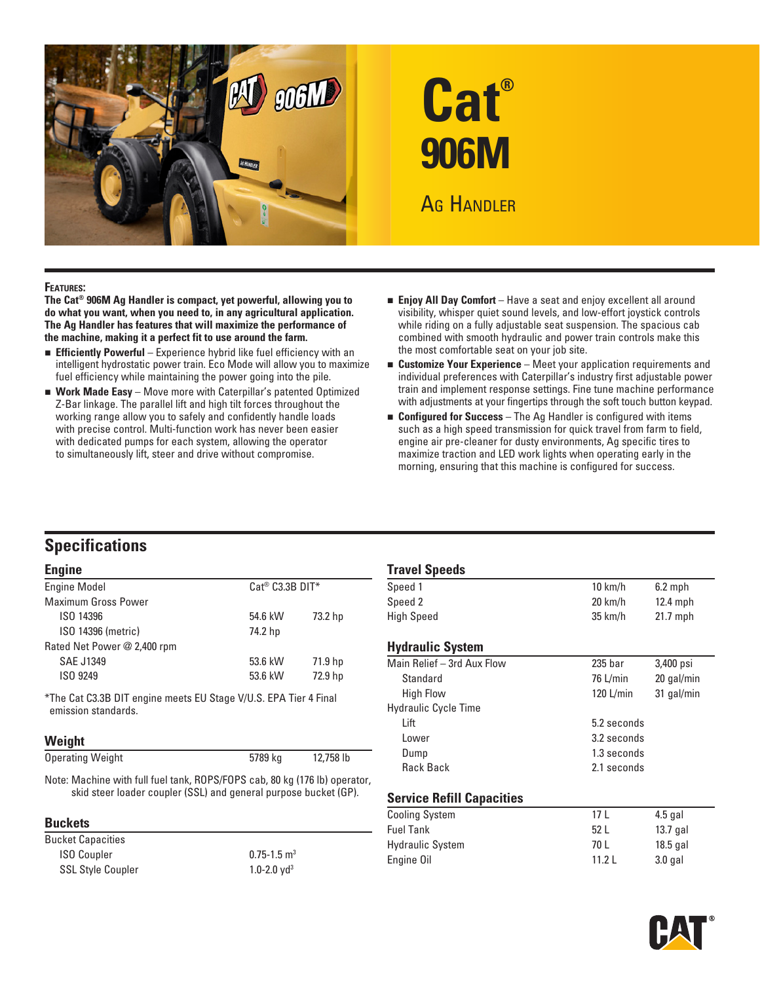



#### **Features:**

**The Cat® 906M Ag Handler is compact, yet powerful, allowing you to do what you want, when you need to, in any agricultural application. The Ag Handler has features that will maximize the performance of the machine, making it a perfect fit to use around the farm.** 

- **Efficiently Powerful** Experience hybrid like fuel efficiency with an intelligent hydrostatic power train. Eco Mode will allow you to maximize fuel efficiency while maintaining the power going into the pile.
- **Nork Made Easy** Move more with Caterpillar's patented Optimized Z-Bar linkage. The parallel lift and high tilt forces throughout the working range allow you to safely and confidently handle loads with precise control. Multi-function work has never been easier with dedicated pumps for each system, allowing the operator to simultaneously lift, steer and drive without compromise.
- **Enjoy All Day Comfort** Have a seat and enjoy excellent all around visibility, whisper quiet sound levels, and low-effort joystick controls while riding on a fully adjustable seat suspension. The spacious cab combined with smooth hydraulic and power train controls make this the most comfortable seat on your job site.
- **Experience** Meet your application requirements and individual preferences with Caterpillar's industry first adjustable power train and implement response settings. Fine tune machine performance with adjustments at your fingertips through the soft touch button keypad.
- **Example 1** Configured for Success The Ag Handler is configured with items such as a high speed transmission for quick travel from farm to field, engine air pre-cleaner for dusty environments, Ag specific tires to maximize traction and LED work lights when operating early in the morning, ensuring that this machine is configured for success.

# **Specifications**

#### **Engine**

| <b>Engine Model</b>         |         | $Cat^@$ $C3.3B$ $DIT^*$ |  |  |
|-----------------------------|---------|-------------------------|--|--|
| <b>Maximum Gross Power</b>  |         |                         |  |  |
| ISO 14396                   | 54.6 kW | 73.2 hp                 |  |  |
| ISO 14396 (metric)          | 74.2 hp |                         |  |  |
| Rated Net Power @ 2,400 rpm |         |                         |  |  |
| <b>SAE J1349</b>            | 53.6 kW | 71.9 hp                 |  |  |
| ISO 9249                    | 53.6 kW | 72.9 hp                 |  |  |
|                             |         |                         |  |  |

\*The Cat C3.3B DIT engine meets EU Stage V/U.S. EPA Tier 4 Final emission standards.

#### **Weight**

| <b>Operating Weight</b> | 5789 kg | 12,758 lb |  |
|-------------------------|---------|-----------|--|
|                         |         |           |  |

Note: Machine with full fuel tank, ROPS/FOPS cab, 80 kg (176 lb) operator, skid steer loader coupler (SSL) and general purpose bucket (GP).

#### **Buckets**

| <b>Bucket Capacities</b> |                             |
|--------------------------|-----------------------------|
| <b>ISO Coupler</b>       | $0.75 - 1.5$ m <sup>3</sup> |
| <b>SSL Style Coupler</b> | 1.0-2.0 $yd^3$              |

#### **Travel Speeds**

| <b></b>                 |                   |            |  |
|-------------------------|-------------------|------------|--|
| Speed 1                 | $10 \text{ km/h}$ | $6.2$ mph  |  |
| Speed 2                 | $20 \text{ km/h}$ | $12.4$ mph |  |
| High Speed              | $35 \text{ km/h}$ | $21.7$ mph |  |
| <b>Hydraulic System</b> |                   |            |  |

| Main Relief - 3rd Aux Flow  | 235 <sub>bar</sub> | 3,400 psi  |
|-----------------------------|--------------------|------------|
| Standard                    | 76 L/min           | 20 gal/min |
| <b>High Flow</b>            | 120 L/min          | 31 gal/min |
| <b>Hydraulic Cycle Time</b> |                    |            |
| Lift                        | 5.2 seconds        |            |
| Lower                       | 3.2 seconds        |            |
| Dump                        | 1.3 seconds        |            |
| <b>Rack Back</b>            | 2.1 seconds        |            |
|                             |                    |            |

#### **Service Refill Capacities**

| <b>Cooling System</b>   | 17 I  | $4.5$ gal  |
|-------------------------|-------|------------|
| <b>Fuel Tank</b>        | 52L   | 13.7 gal   |
| <b>Hydraulic System</b> | 70 L  | $18.5$ gal |
| Engine Oil              | 11.21 | $3.0$ gal  |

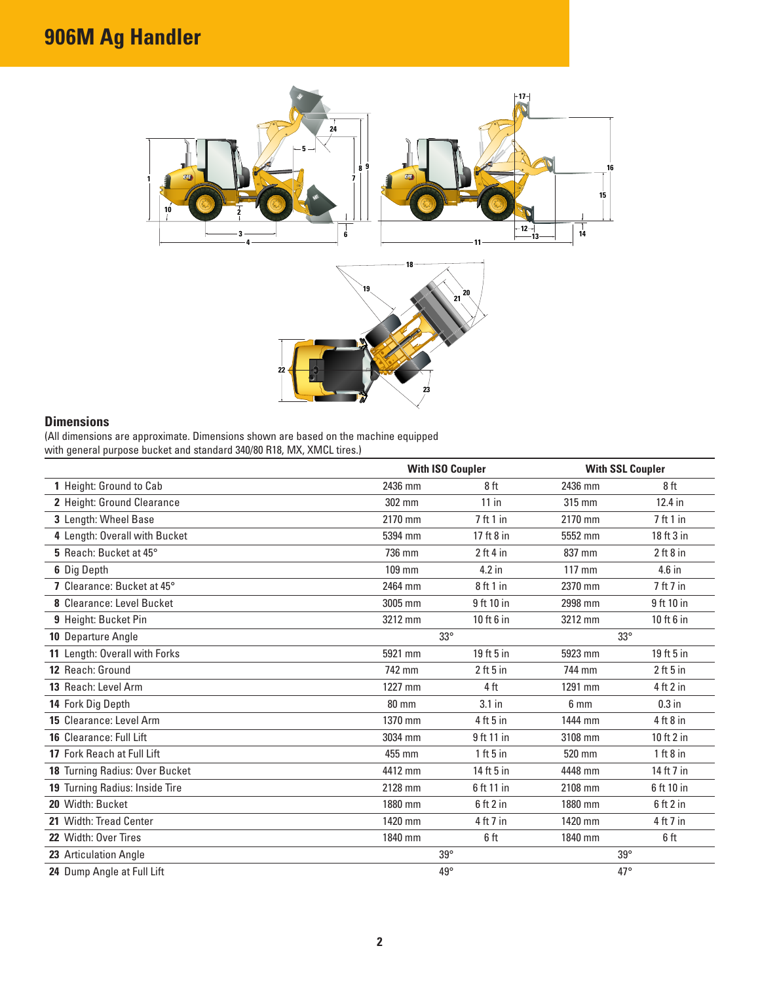# **906M Ag Handler**



# **Dimensions**

(All dimensions are approximate. Dimensions shown are based on the machine equipped with general purpose bucket and standard 340/80 R18, MX, XMCL tires.)

|                                |              | <b>With ISO Coupler</b> |                  | <b>With SSL Coupler</b> |
|--------------------------------|--------------|-------------------------|------------------|-------------------------|
| 1 Height: Ground to Cab        | 2436 mm      | 8ft                     | 2436 mm          | 8ft                     |
| 2 Height: Ground Clearance     | 302 mm       | $11$ in                 | $315 \text{ mm}$ | 12.4 in                 |
| 3 Length: Wheel Base           | 2170 mm      | 7 ft 1 in               | 2170 mm          | 7ft1in                  |
| 4 Length: Overall with Bucket  | 5394 mm      | 17 ft 8 in              | 5552 mm          | 18 ft 3 in              |
| 5 Reach: Bucket at 45°         | 736 mm       | 2 ft 4 in               | 837 mm           | $2$ ft 8 in             |
| 6 Dig Depth                    | 109 mm       | 4.2 in                  | $117 \text{ mm}$ | 4.6 in                  |
| 7 Clearance: Bucket at 45°     | 2464 mm      | 8 ft 1 in               | 2370 mm          | 7 ft 7 in               |
| 8 Clearance: Level Bucket      | 3005 mm      | 9 ft 10 in              | 2998 mm          | 9 ft 10 in              |
| 9 Height: Bucket Pin           | 3212 mm      | $10$ ft $6$ in          | 3212 mm          | $10$ ft $6$ in          |
| 10 Departure Angle             |              | $33^\circ$              | $33^\circ$       |                         |
| 11 Length: Overall with Forks  | 5921 mm      | 19 ft 5 in              | 5923 mm          | 19 ft 5 in              |
| 12 Reach: Ground               | 742 mm       | $2$ ft 5 in             | 744 mm           | $2$ ft 5 in             |
| 13 Reach: Level Arm            | 1227 mm      | 4 ft                    | 1291 mm          | 4 ft 2 in               |
| 14 Fork Dig Depth              | <b>80 mm</b> | $3.1$ in                | 6 <sub>mm</sub>  | $0.3$ in                |
| 15 Clearance: Level Arm        | 1370 mm      | $4$ ft 5 in             | 1444 mm          | $4$ ft $8$ in           |
| 16 Clearance: Full Lift        | 3034 mm      | 9 ft 11 in              | 3108 mm          | 10 ft 2 in              |
| 17 Fork Reach at Full Lift     | 455 mm       | $1$ ft $5$ in           | 520 mm           | 1 ft 8 in               |
| 18 Turning Radius: Over Bucket | 4412 mm      | 14 ft 5 in              | 4448 mm          | 14 ft 7 in              |
| 19 Turning Radius: Inside Tire | 2128 mm      | 6 ft 11 in              | 2108 mm          | 6 ft 10 in              |
| 20 Width: Bucket               | 1880 mm      | $6$ ft $2$ in           | 1880 mm          | $6$ ft $2$ in           |
| 21 Width: Tread Center         | 1420 mm      | 4 ft 7 in               | 1420 mm          | 4 ft 7 in               |
| 22 Width: Over Tires           | 1840 mm      | 6 ft                    | 1840 mm          | 6 ft                    |
| 23 Articulation Angle          | $39^\circ$   |                         | $39^\circ$       |                         |
| 24 Dump Angle at Full Lift     |              | $49^\circ$              | $47^\circ$       |                         |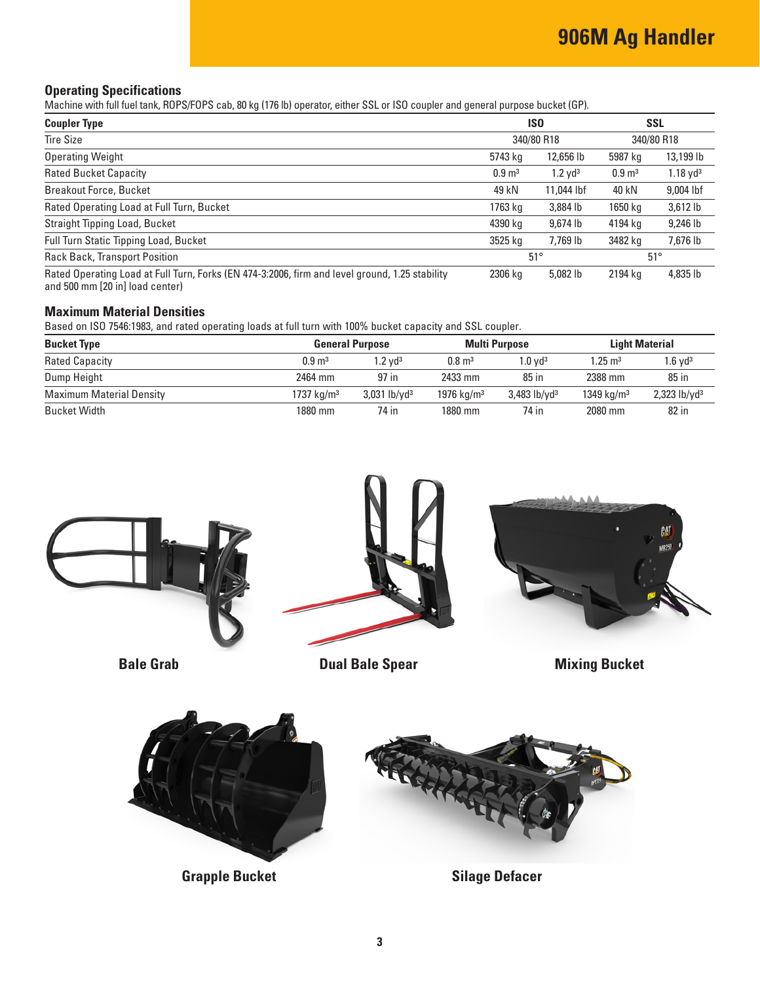## **Operating Specifications**

Machine with full fuel tank, ROPS/FOPS cab, 80 kg (176 lb) operator, either SSL or ISO coupler and general purpose bucket (GP).

| <b>Coupler Type</b>                                                                                                               | IS <sub>0</sub><br>340/80 R18 |                       | <b>SSL</b><br>340/80 R18 |                        |
|-----------------------------------------------------------------------------------------------------------------------------------|-------------------------------|-----------------------|--------------------------|------------------------|
| <b>Tire Size</b>                                                                                                                  |                               |                       |                          |                        |
| <b>Operating Weight</b>                                                                                                           | 5743 kg                       | 12,656 lb             | 5987 kg                  | 13,199 lb              |
| <b>Rated Bucket Capacity</b>                                                                                                      | $0.9 \text{ m}^3$             | $1.2$ yd <sup>3</sup> | $0.9 \text{ m}^3$        | $1.18$ yd <sup>3</sup> |
| <b>Breakout Force, Bucket</b>                                                                                                     | 49 kN                         | 11,044 lbf            | 40 kN                    | 9,004 lbf              |
| Rated Operating Load at Full Turn, Bucket                                                                                         | 1763 kg                       | 3,884 lb              | 1650 kg                  | 3,612 lb               |
| Straight Tipping Load, Bucket                                                                                                     | 4390 kg                       | 9.674 lb              | 4194 kg                  | 9,246 lb               |
| <b>Full Turn Static Tipping Load, Bucket</b>                                                                                      | 3525 kg                       | 7,769 lb              | 3482 kg                  | 7,676 lb               |
| <b>Rack Back, Transport Position</b>                                                                                              | $51^\circ$                    |                       |                          | $51^{\circ}$           |
| Rated Operating Load at Full Turn, Forks (EN 474-3:2006, firm and level ground, 1.25 stability<br>and 500 mm [20 in] load center) | 2306 kg                       | 5,082 lb              | 2194 kg                  | 4,835 lb               |

#### **Maximum Material Densities**

Based on ISO 7546:1983, and rated operating loads at full turn with 100% bucket capacity and SSL coupler.

| <b>Bucket Type</b>              |                        | <b>General Purpose</b>     |                   | <b>Multi Purpose</b>       |                    |                            |  | <b>Light Material</b> |
|---------------------------------|------------------------|----------------------------|-------------------|----------------------------|--------------------|----------------------------|--|-----------------------|
| <b>Rated Capacity</b>           | $0.9 \text{ m}^3$      | $1.2$ vd $3$               | $0.8 \text{ m}^3$ | $1.0$ vd <sup>3</sup>      | $1.25 \text{ m}^3$ | $1.6$ vd <sup>3</sup>      |  |                       |
| Dump Height                     | 2464 mm                | 97 in                      | 2433 mm           | $85$ in                    | 2388 mm            | $85$ in                    |  |                       |
| <b>Maximum Material Density</b> | 1737 kg/m <sup>3</sup> | $3,031$ lb/yd <sup>3</sup> | 1976 $kg/m3$      | $3,483$ lb/yd <sup>3</sup> | 1349 $kg/m3$       | $2,323$ lb/yd <sup>3</sup> |  |                       |
| Bucket Width                    | 1880 mm                | 74 in                      | 1880 mm           | 74 in                      | 2080 mm            | 82 in                      |  |                       |





**Grapple Bucket Silage Defacer**